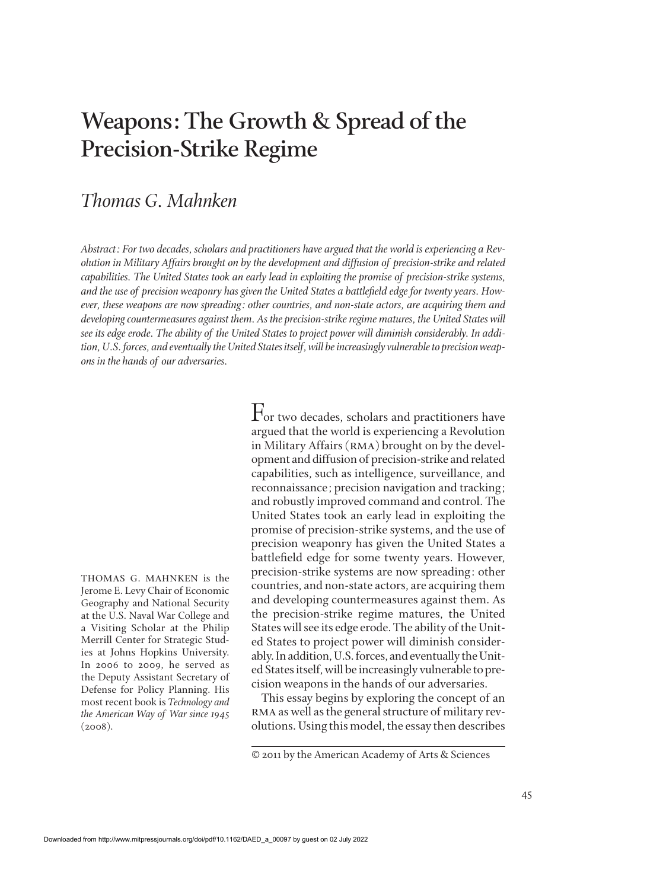## **Weapons: The Growth & Spread of the Precision-Strike Regime**

## *Thomas G. Mahnken*

*Abstract: For two decades, scholars and practitioners have argued that the world is experiencing a Revolution in Military Affairs brought on by the development and diffusion of precision-strike and related capabilities. The United States took an early lead in exploiting the promise of precision-strike systems,* and the use of precision weaponry has given the United States a battlefield edge for twenty years. How*ever, these weapons are now spreading: other countries, and non-state actors, are acquiring them and developing countermeasures against them. As the precision-strike regime matures, the United States will see its edge erode. The ability of the United States to project power will diminish considerably. In addition, U.S. forces, and eventually the United States itself, will be increasingly vulnerable to precision weapons in the hands of our adversaries.*

THOMAS G. MAHNKEN is the Jerome E. Levy Chair of Economic Geography and National Security at the U.S. Naval War College and a Visiting Scholar at the Philip Merrill Center for Strategic Studies at Johns Hopkins University. In 2006 to 2009, he served as the Deputy Assistant Secretary of Defense for Policy Planning. His most recent book is *Technology and the American Way of War since 1945* (2008).

 $\rm{F_{or}}$  two decades, scholars and practitioners have argued that the world is experiencing a Revolution in Military Affairs (RMA) brought on by the development and diffusion of precision-strike and related capabilities, such as intelligence, surveillance, and reconnaissance; precision navigation and tracking; and robustly improved command and control. The United States took an early lead in exploiting the promise of precision-strike systems, and the use of precision weaponry has given the United States a battlefield edge for some twenty years. However, precision-strike systems are now spreading: other countries, and non-state actors, are acquiring them and developing countermeasures against them. As the precision-strike regime matures, the United States will see its edge erode. The ability of the United States to project power will diminish considerably. In addition, U.S. forces, and eventually the United States itself, will be increasingly vulnerable to precision weapons in the hands of our adversaries.

This essay begins by exploring the concept of an RMA as well as the general structure of military revolutions. Using this model, the essay then describes

<sup>© 2011</sup> by the American Academy of Arts & Sciences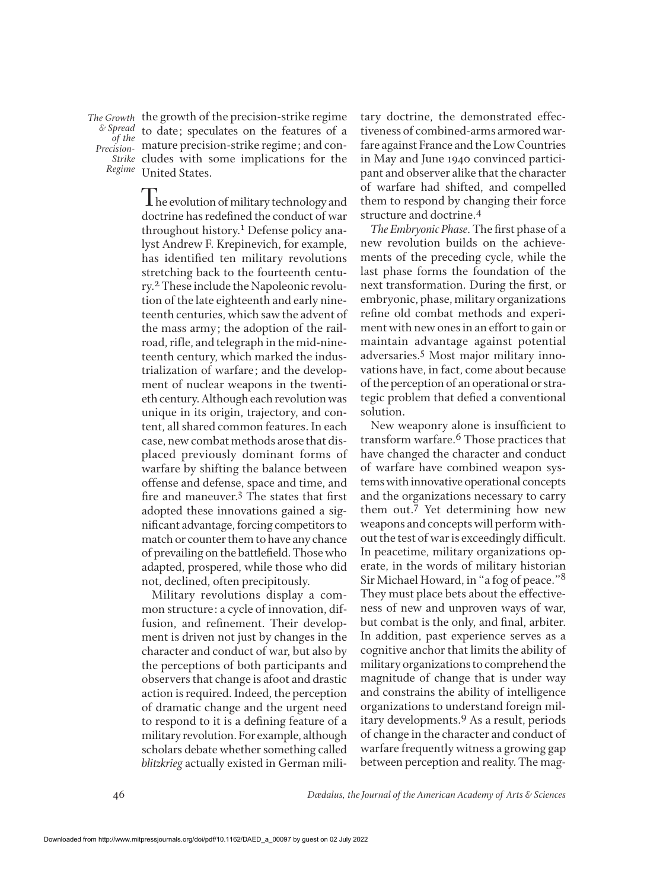*of the*

the growth of the precision-strike regime *The Growth* to date; speculates on the features of a *& Spread*  mature precision-strike regime; and con-*Precision-*Strike cludes with some implications for the United States. *Regime*

> The evolution of military technology and doctrine has redefined the conduct of war throughout history.1 Defense policy analyst Andrew F. Krepinevich, for example, has identified ten military revolutions stretching back to the fourteenth century.2 These include the Napoleonic revolution of the late eighteenth and early nineteenth centuries, which saw the advent of the mass army; the adoption of the railroad, rifle, and telegraph in the mid-nineteenth century, which marked the industrialization of warfare; and the development of nuclear weapons in the twentieth century. Although each revolution was unique in its origin, trajectory, and content, all shared common features. In each case, new combat methods arose that displaced previously dominant forms of warfare by shifting the balance between offense and defense, space and time, and fire and maneuver. $3$  The states that first adopted these innovations gained a significant advantage, forcing competitors to match or counter them to have any chance of prevailing on the battlefield. Those who adapted, prospered, while those who did not, declined, often precipitously.

> Military revolutions display a common structure: a cycle of innovation, diffusion, and refinement. Their development is driven not just by changes in the character and conduct of war, but also by the perceptions of both participants and observers that change is afoot and drastic action is required. Indeed, the perception of dramatic change and the urgent need to respond to it is a defining feature of a military revolution. For example, although scholars debate whether something called *blitzkrieg* actually existed in German mili

tary doctrine, the demonstrated effectiveness of combined-arms armored warfare against France and the Low Countries in May and June 1940 convinced participant and observer alike that the character of warfare had shifted, and compelled them to respond by changing their force structure and doctrine.4

*The Embryonic Phase*. The first phase of a new revolution builds on the achievements of the preceding cycle, while the last phase forms the foundation of the next transformation. During the first, or embryonic, phase, military organizations refine old combat methods and experiment with new ones in an effort to gain or maintain advantage against potential adversaries.5 Most major military innovations have, in fact, come about because of the perception of an operational or strategic problem that defied a conventional solution.

New weaponry alone is insufficient to transform warfare.6 Those practices that have changed the character and conduct of warfare have combined weapon systems with innovative operational concepts and the organizations necessary to carry them out.7 Yet determining how new weapons and concepts will perform without the test of war is exceedingly difficult. In peacetime, military organizations operate, in the words of military historian Sir Michael Howard, in "a fog of peace."8 They must place bets about the effectiveness of new and unproven ways of war, but combat is the only, and final, arbiter. In addition, past experience serves as a cognitive anchor that limits the ability of military organizations to comprehend the magnitude of change that is under way and constrains the ability of intelligence organizations to understand foreign military developments.9 As a result, periods of change in the character and conduct of warfare frequently witness a growing gap between perception and reality. The mag-

46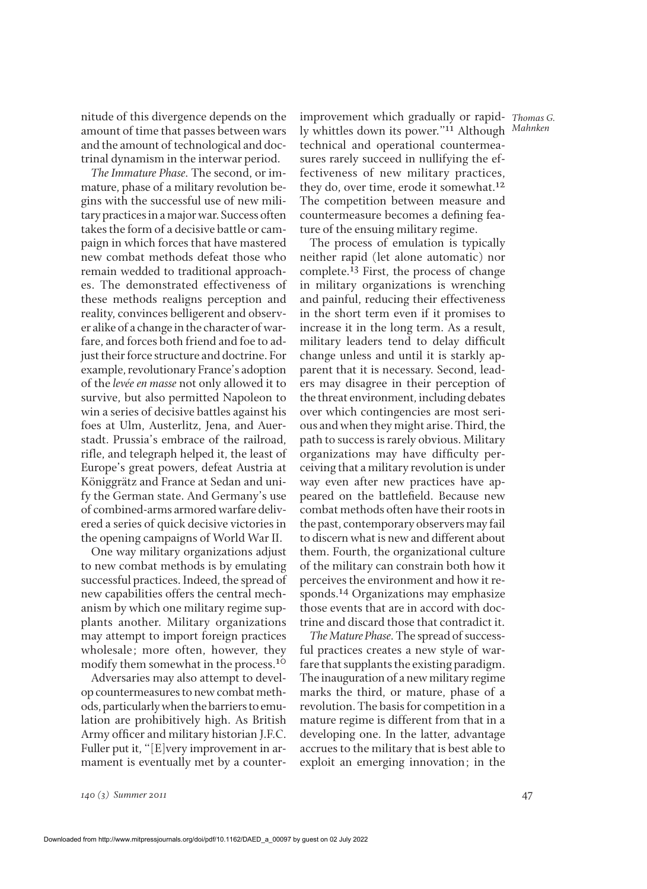nitude of this divergence depends on the amount of time that passes between wars and the amount of technological and doctrinal dynamism in the interwar period.

*The Immature Phase.* The second, or immature, phase of a military revolution begins with the successful use of new military practices in a major war. Success often takes the form of a decisive battle or campaign in which forces that have mastered new combat methods defeat those who remain wedded to traditional approaches. The demonstrated effectiveness of these methods realigns perception and reality, convinces belligerent and observer alike of a change in the character of warfare, and forces both friend and foe to adjust their force structure and doctrine. For example, revolutionary France's adoption of the *levée en masse* not only allowed it to survive, but also permitted Napoleon to win a series of decisive battles against his foes at Ulm, Austerlitz, Jena, and Auerstadt. Prussia's embrace of the railroad, rifle, and telegraph helped it, the least of Europe's great powers, defeat Austria at Königgrätz and France at Sedan and unify the German state. And Germany's use of combined-arms armored warfare delivered a series of quick decisive victories in the opening campaigns of World War II.

One way military organizations adjust to new combat methods is by emulating successful practices. Indeed, the spread of new capabilities offers the central mechanism by which one military regime supplants another. Military organizations may attempt to import foreign practices wholesale; more often, however, they modify them somewhat in the process.<sup>10</sup>

Adversaries may also attempt to develop countermeasures to new combat methods, particularly when the barriers to emulation are prohibitively high. As British Army officer and military historian J.F.C. Fuller put it, "[E]very improvement in armament is eventually met by a counter-

Downloaded from http://www.mitpressjournals.org/doi/pdf/10.1162/DAED\_a\_00097 by guest on 02 July 2022

improvement which gradually or rapid-*Thomas G.* ly whittles down its power."11 Although *Mahnken* technical and operational countermeasures rarely succeed in nullifying the effectiveness of new military practices, they do, over time, erode it somewhat.<sup>12</sup> The competition between measure and countermeasure becomes a defining feature of the ensuing military regime.

The process of emulation is typically neither rapid (let alone automatic) nor complete.13 First, the process of change in military organizations is wrenching and painful, reducing their effectiveness in the short term even if it promises to increase it in the long term. As a result, military leaders tend to delay difficult change unless and until it is starkly apparent that it is necessary. Second, leaders may disagree in their perception of the threat environment, including debates over which contingencies are most serious and when they might arise. Third, the path to success is rarely obvious. Military organizations may have difficulty perceiving that a military revolution is under way even after new practices have appeared on the battlefield. Because new combat methods often have their roots in the past, contemporary observers may fail to discern what is new and different about them. Fourth, the organizational culture of the military can constrain both how it perceives the environment and how it responds.14 Organizations may emphasize those events that are in accord with doctrine and discard those that contradict it.

*The Mature Phase.*The spread of successful practices creates a new style of warfare that supplants the existing paradigm. The inauguration of a new military regime marks the third, or mature, phase of a revolution. The basis for competition in a mature regime is different from that in a developing one. In the latter, advantage accrues to the military that is best able to exploit an emerging innovation; in the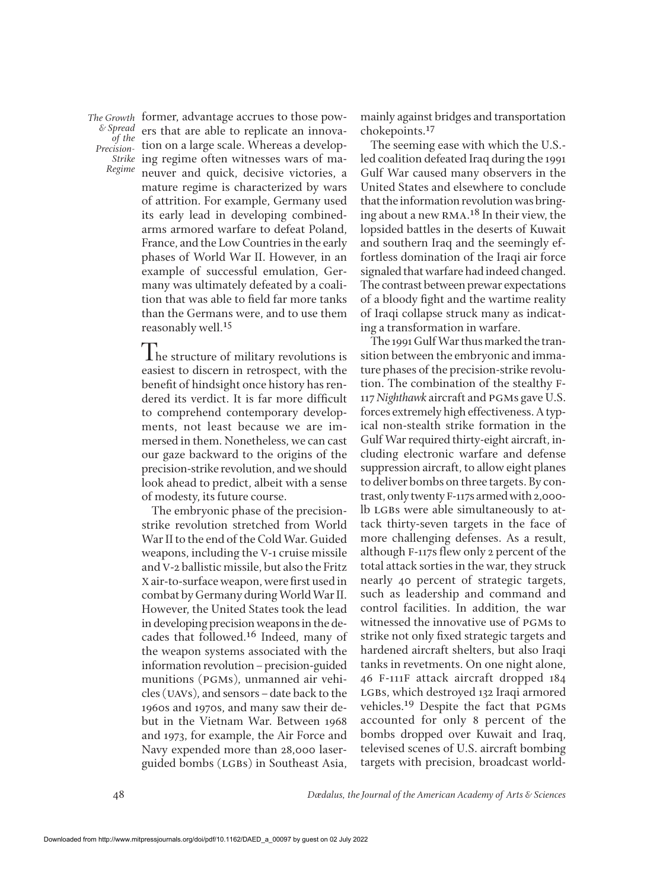*& Spread of the*

The Growth former, advantage accrues to those powers that are able to replicate an innovation on a large scale. Whereas a develop-*Precision-*Strike ing regime often witnesses wars of maneuver and quick, decisive victories, a *Regime* mature regime is characterized by wars of attrition. For example, Germany used its early lead in developing combinedarms armored warfare to defeat Poland, France, and the Low Countries in the early phases of World War II. However, in an example of successful emulation, Germany was ultimately defeated by a coalition that was able to field far more tanks than the Germans were, and to use them reasonably well.15

> The structure of military revolutions is easiest to discern in retrospect, with the benefit of hindsight once history has rendered its verdict. It is far more difficult to comprehend contemporary developments, not least because we are immersed in them. Nonetheless, we can cast our gaze backward to the origins of the precision-strike revolution, and we should look ahead to predict, albeit with a sense of modesty, its future course.

> The embryonic phase of the precisionstrike revolution stretched from World War II to the end of the Cold War. Guided weapons, including the V-1 cruise missile and V-2 ballistic missile, but also the Fritz X air-to-surface weapon, were first used in combat by Germany during World War II. However, the United States took the lead in developing precision weapons in the decades that followed.16 Indeed, many of the weapon systems associated with the information revolution–precision-guided munitions (PGMs), unmanned air vehicles (uavs), and sensors–date back to the 1960s and 1970s, and many saw their debut in the Vietnam War. Between 1968 and 1973, for example, the Air Force and Navy expended more than 28,000 laserguided bombs (LGBs) in Southeast Asia,

mainly against bridges and transportation chokepoints.17

The seeming ease with which the U.S. led coalition defeated Iraq during the 1991 Gulf War caused many observers in the United States and elsewhere to conclude that the information revolution was bringing about a new RMA. $^{18}$  In their view, the lopsided battles in the deserts of Kuwait and southern Iraq and the seemingly effortless domination of the Iraqi air force signaled that warfare had indeed changed. The contrast between prewar expectations of a bloody fight and the wartime reality of Iraqi collapse struck many as indicating a transformation in warfare.

The 1991 Gulf War thus marked the transition between the embryonic and immature phases of the precision-strike revolution. The combination of the stealthy F-117 *Nighthawk* aircraft and PGMs gave U.S. forces extremely high effectiveness. A typical non-stealth strike formation in the Gulf War required thirty-eight aircraft, including electronic warfare and defense suppression aircraft, to allow eight planes to deliver bombs on three targets. By contrast, only twenty F-117s armed with 2,000 lb LGBs were able simultaneously to attack thirty-seven targets in the face of more challenging defenses. As a result, although F-117s flew only 2 percent of the total attack sorties in the war, they struck nearly 40 percent of strategic targets, such as leadership and command and control facilities. In addition, the war witnessed the innovative use of PGMs to strike not only fixed strategic targets and hardened aircraft shelters, but also Iraqi tanks in revetments. On one night alone, 46 F-111F attack aircraft dropped 184 LGBs, which destroyed 132 Iraqi armored vehicles.<sup>19</sup> Despite the fact that PGMs accounted for only 8 percent of the bombs dropped over Kuwait and Iraq, televised scenes of U.S. aircraft bombing targets with precision, broadcast world-

48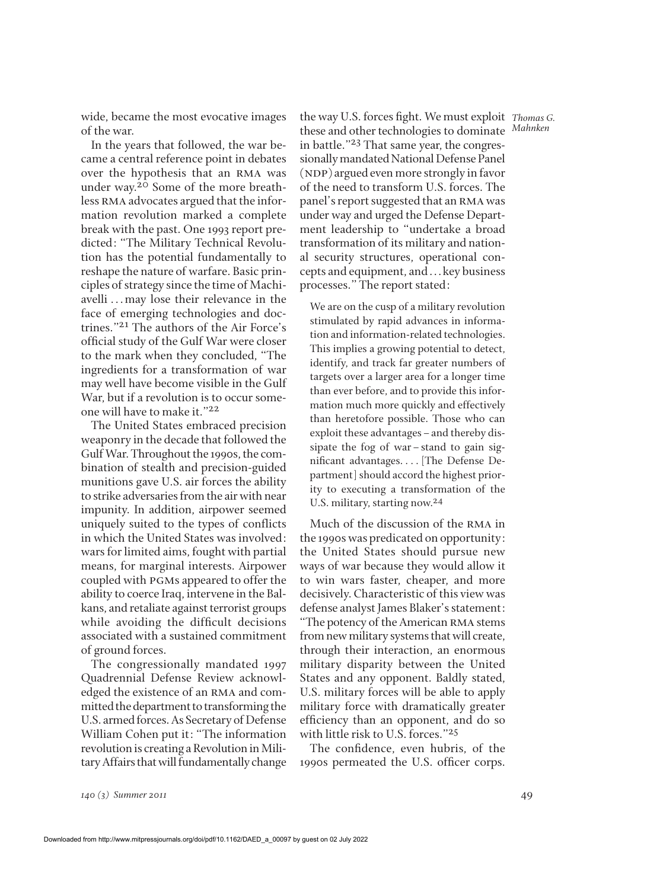wide, became the most evocative images of the war.

In the years that followed, the war became a central reference point in debates over the hypothesis that an RMA was under way.20 Some of the more breathless RMA advocates argued that the information revolution marked a complete break with the past. One 1993 report predicted: "The Military Technical Revolution has the potential fundamentally to reshape the nature of warfare. Basic principles of strategy since the time of Machiavelli . . . may lose their relevance in the face of emerging technologies and doctrines."21 The authors of the Air Force's official study of the Gulf War were closer to the mark when they concluded, "The ingredients for a transformation of war may well have become visible in the Gulf War, but if a revolution is to occur someone will have to make it."22

The United States embraced precision weaponry in the decade that followed the Gulf War. Throughout the 1990s, the combination of stealth and precision-guided munitions gave U.S. air forces the ability to strike adversaries from the air with near impunity. In addition, airpower seemed uniquely suited to the types of conflicts in which the United States was involved: wars for limited aims, fought with partial means, for marginal interests. Airpower coupled with PGMs appeared to offer the ability to coerce Iraq, intervene in the Balkans, and retaliate against terrorist groups while avoiding the difficult decisions associated with a sustained commitment of ground forces.

The congressionally mandated 1997 Quadrennial Defense Review acknowledged the existence of an RMA and committed the department to transforming the U.S. armed forces. As Secretary of Defense William Cohen put it: "The information revolution is creating a Revolution in Military Affairs that will fundamentally change the way U.S. forces fight. We must exploit Thomas G. these and other technologies to dominate *Mahnken* in battle."23 That same year, the congressionally mandated National Defense Panel (NDP) argued even more strongly in favor of the need to transform U.S. forces. The panel's report suggested that an rma was under way and urged the Defense Department leadership to "undertake a broad transformation of its military and national security structures, operational concepts and equipment, and . . . key business processes." The report stated:

We are on the cusp of a military revolution stimulated by rapid advances in information and information-related technologies. This implies a growing potential to detect, identify, and track far greater numbers of targets over a larger area for a longer time than ever before, and to provide this information much more quickly and effectively than heretofore possible. Those who can exploit these advantages–and thereby dissipate the fog of war–stand to gain significant advantages. . . . [The Defense Department] should accord the highest priority to executing a transformation of the U.S. military, starting now.24

Much of the discussion of the rma in the 1990s was predicated on opportunity: the United States should pursue new ways of war because they would allow it to win wars faster, cheaper, and more decisively. Characteristic of this view was defense analyst James Blaker's statement: "The potency of the American RMA stems from new military systems that will create, through their interaction, an enormous military disparity between the United States and any opponent. Baldly stated, U.S. military forces will be able to apply military force with dramatically greater efficiency than an opponent, and do so with little risk to U.S. forces."25

The confidence, even hubris, of the 1990s permeated the U.S. officer corps.

*140 (3) Summer 2011*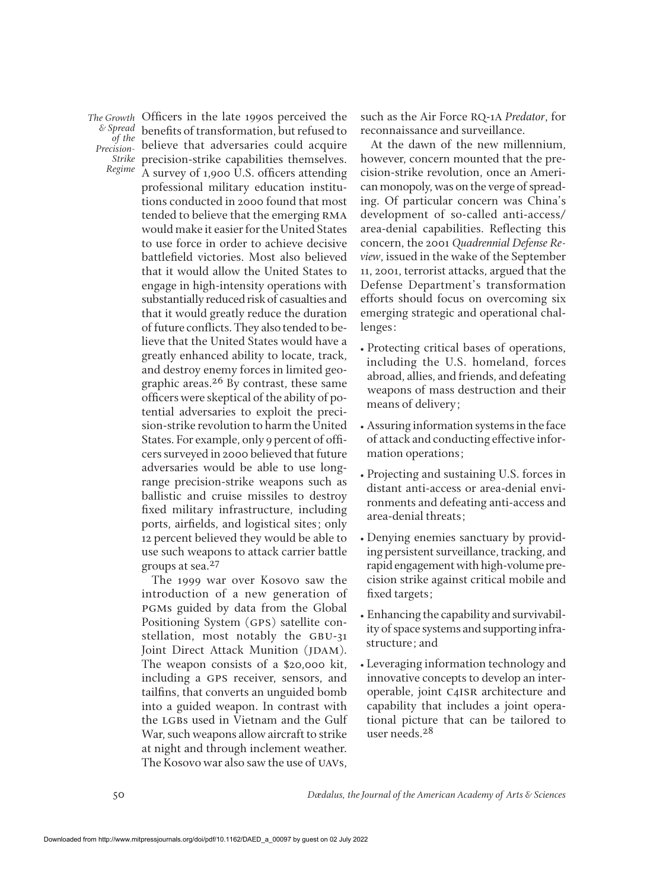*& Spread of the Precision-Regime*

The Growth Officers in the late 1990s perceived the benefits of transformation, but refused to believe that adversaries could acquire precision-strike capabilities themselves. *Strike* A survey of  $1,900$  U.S. officers attending professional military education institutions conducted in 2000 found that most tended to believe that the emerging RMA would make it easier for the United States to use force in order to achieve decisive battlefield victories. Most also believed that it would allow the United States to engage in high-intensity operations with substantially reduced risk of casualties and that it would greatly reduce the duration of future conflicts. They also tended to believe that the United States would have a greatly enhanced ability to locate, track, and destroy enemy forces in limited geographic areas. $26$  By contrast, these same officers were skeptical of the ability of potential adversaries to exploit the precision-strike revolution to harm the United States. For example, only 9 percent of officers surveyed in 2000 believed that future adversaries would be able to use longrange precision-strike weapons such as ballistic and cruise missiles to destroy fixed military infrastructure, including ports, airfields, and logistical sites; only 12 percent believed they would be able to use such weapons to attack carrier battle groups at sea.<sup>27</sup>

The 1999 war over Kosovo saw the introduction of a new generation of pGMs guided by data from the Global Positioning System (gps) satellite constellation, most notably the GBU-31 Joint Direct Attack Munition (JDAM). The weapon consists of a \$20,000 kit, including a gps receiver, sensors, and tailfins, that converts an unguided bomb into a guided weapon. In contrast with the LGBs used in Vietnam and the Gulf War, such weapons allow aircraft to strike at night and through inclement weather. The Kosovo war also saw the use of uavs,

such as the Air Force RQ-1A *Predator*, for reconnaissance and surveillance.

At the dawn of the new millennium, however, concern mounted that the precision-strike revolution, once an American monopoly, was on the verge of spreading. Of particular concern was China's development of so-called anti-access/ area-denial capabilities. Reflecting this concern, the 2001 *Quadrennial Defense Review*, issued in the wake of the September 11, 2001, terrorist attacks, argued that the Defense Department's transformation efforts should focus on overcoming six emerging strategic and operational challenges:

- Protecting critical bases of operations, including the U.S. homeland, forces abroad, allies, and friends, and defeating weapons of mass destruction and their means of delivery;
- Assuring information systems in the face of attack and conducting effective information operations;
- Projecting and sustaining U.S. forces in distant anti-access or area-denial environments and defeating anti-access and area-denial threats;
- Denying enemies sanctuary by providing persistent surveillance, tracking, and rapid engagement with high-volume precision strike against critical mobile and fixed targets;
- Enhancing the capability and survivability of space systems and supporting infrastructure; and
- Leveraging information technology and innovative concepts to develop an interoperable, joint c4isr architecture and capability that includes a joint operational picture that can be tailored to user needs<sup>28</sup>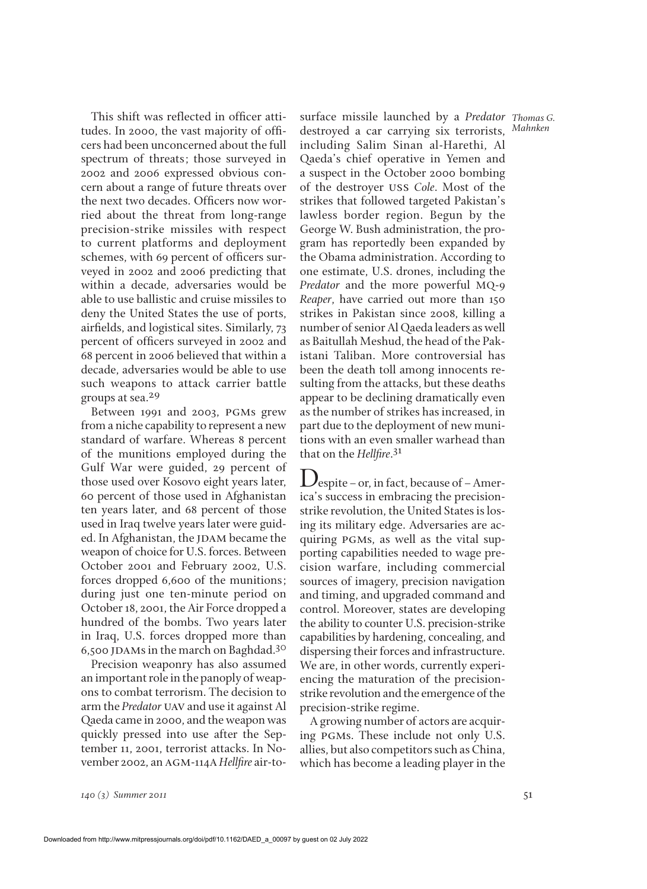This shift was reflected in officer attitudes. In 2000, the vast majority of officers had been unconcerned about the full spectrum of threats; those surveyed in 2002 and 2006 expressed obvious concern about a range of future threats over the next two decades. Officers now worried about the threat from long-range precision-strike missiles with respect to current platforms and deployment schemes, with 69 percent of officers surveyed in 2002 and 2006 predicting that within a decade, adversaries would be able to use ballistic and cruise missiles to deny the United States the use of ports, airfields, and logistical sites. Similarly, 73 percent of officers surveyed in 2002 and 68 percent in 2006 believed that within a decade, adversaries would be able to use such weapons to attack carrier battle groups at sea.29

Between 1991 and 2003, PGMs grew from a niche capability to represent a new standard of warfare. Whereas 8 percent of the munitions employed during the Gulf War were guided, 29 percent of those used over Kosovo eight years later, 60 percent of those used in Afghanistan ten years later, and 68 percent of those used in Iraq twelve years later were guided. In Afghanistan, the JDAM became the weapon of choice for U.S. forces. Between October 2001 and February 2002, U.S. forces dropped 6,600 of the munitions; during just one ten-minute period on October 18, 2001, the Air Force dropped a hundred of the bombs. Two years later in Iraq, U.S. forces dropped more than 6,500 JDAMs in the march on Baghdad. $3^{\circ}$ 

Precision weaponry has also assumed an important role in the panoply of weapons to combat terrorism. The decision to arm the *Predator* uav and use it against Al Qaeda came in 2000, and the weapon was quickly pressed into use after the September 11, 2001, terrorist attacks. In November 2002, an AGM-114A Hellfire air-tosurface missile launched by a *Predator Thomas G.* destroyed a car carrying six terrorists, *Mahnken* including Salim Sinan al-Harethi, Al Qaeda's chief operative in Yemen and a suspect in the October 2000 bombing of the destroyer uss *Cole*. Most of the strikes that followed targeted Pakistan's lawless border region. Begun by the George W. Bush administration, the program has reportedly been expanded by the Obama administration. According to one estimate, U.S. drones, including the *Predator* and the more powerful MQ-9 *Reaper*, have carried out more than 150 strikes in Pakistan since 2008, killing a number of senior Al Qaeda leaders as well as Baitullah Meshud, the head of the Pakistani Taliban. More controversial has been the death toll among innocents resulting from the attacks, but these deaths appear to be declining dramatically even as the number of strikes has increased, in part due to the deployment of new munitions with an even smaller warhead than that on the *Hellfire*.<sup>31</sup>

 $\mathbf{\mathcal{U}}$ espite – or, in fact, because of – America's success in embracing the precisionstrike revolution, the United States is losing its military edge. Adversaries are acquiring pgms, as well as the vital supporting capabilities needed to wage precision warfare, including commercial sources of imagery, precision navigation and timing, and upgraded command and control. Moreover, states are developing the ability to counter U.S. precision-strike capabilities by hardening, concealing, and dispersing their forces and infrastructure. We are, in other words, currently experiencing the maturation of the precisionstrike revolution and the emergence of the precision-strike regime.

A growing number of actors are acquiring PGMs. These include not only U.S. allies, but also competitors such as China, which has become a leading player in the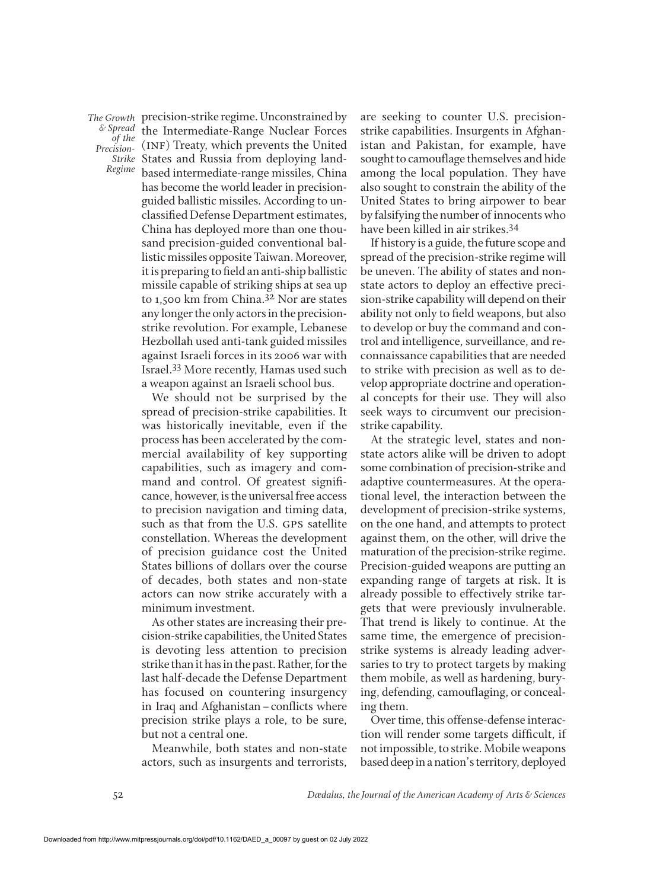*of the*

The Growth precision-strike regime. Unconstrained by the Intermediate-Range Nuclear Forces *& Spread*  of the (INF) Treaty, which prevents the United Strike States and Russia from deploying landbased intermediate-range missiles, China *Regime* has become the world leader in precisionguided ballistic missiles. According to unclassified Defense Department estimates, China has deployed more than one thousand precision-guided conventional ballistic missiles opposite Taiwan. Moreover, it is preparing to field an anti-ship ballistic missile capable of striking ships at sea up to 1,500 km from China.32 Nor are states any longer the only actors in the precisionstrike revolution. For example, Lebanese Hezbollah used anti-tank guided missiles against Israeli forces in its 2006 war with Israel.33 More recently, Hamas used such a weapon against an Israeli school bus.

> We should not be surprised by the spread of precision-strike capabilities. It was historically inevitable, even if the process has been accelerated by the commercial availability of key supporting capabilities, such as imagery and command and control. Of greatest significance, however, is the universal free access to precision navigation and timing data, such as that from the U.S. gps satellite constellation. Whereas the development of precision guidance cost the United States billions of dollars over the course of decades, both states and non-state actors can now strike accurately with a minimum investment.

> As other states are increasing their precision-strike capabilities, the United States is devoting less attention to precision strike than it has in the past. Rather, for the last half-decade the Defense Department has focused on countering insurgency in Iraq and Afghanistan–conflicts where precision strike plays a role, to be sure, but not a central one.

> Meanwhile, both states and non-state actors, such as insurgents and terrorists,

are seeking to counter U.S. precisionstrike capabilities. Insurgents in Afghanistan and Pakistan, for example, have sought to camouflage themselves and hide among the local population. They have also sought to constrain the ability of the United States to bring airpower to bear by falsifying the number of innocents who have been killed in air strikes.34

If history is a guide, the future scope and spread of the precision-strike regime will be uneven. The ability of states and nonstate actors to deploy an effective precision-strike capability will depend on their ability not only to field weapons, but also to develop or buy the command and control and intelligence, surveillance, and reconnaissance capabilities that are needed to strike with precision as well as to develop appropriate doctrine and operational concepts for their use. They will also seek ways to circumvent our precisionstrike capability.

At the strategic level, states and nonstate actors alike will be driven to adopt some combination of precision-strike and adaptive countermeasures. At the operational level, the interaction between the development of precision-strike systems, on the one hand, and attempts to protect against them, on the other, will drive the maturation of the precision-strike regime. Precision-guided weapons are putting an expanding range of targets at risk. It is already possible to effectively strike targets that were previously invulnerable. That trend is likely to continue. At the same time, the emergence of precisionstrike systems is already leading adversaries to try to protect targets by making them mobile, as well as hardening, burying, defending, camouflaging, or concealing them.

Over time, this offense-defense interaction will render some targets difficult, if not impossible, to strike. Mobile weapons based deep in a nation's territory, deployed

52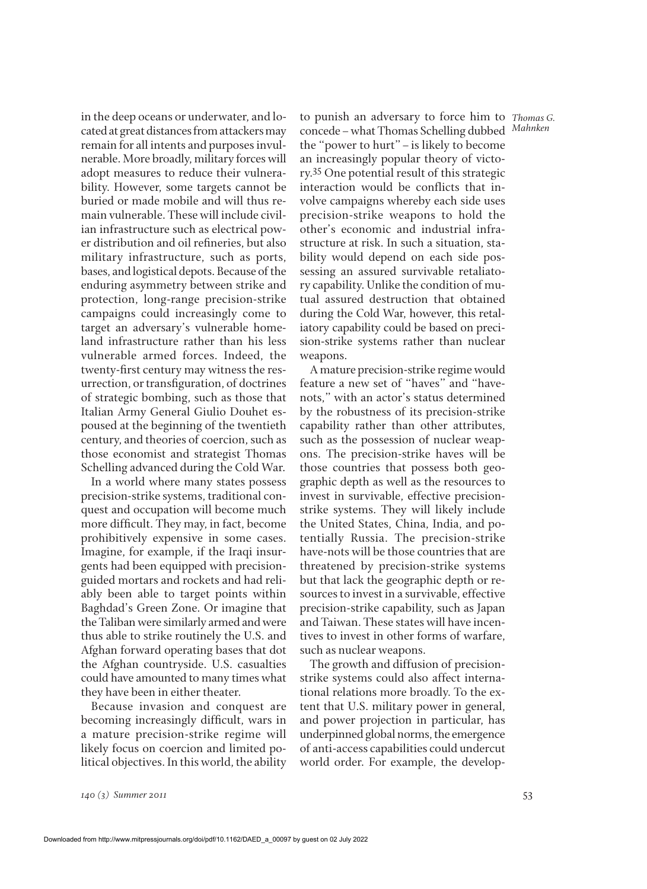in the deep oceans or underwater, and located at great distances from attackers may remain for all intents and purposes invulnerable. More broadly, military forces will adopt measures to reduce their vulnerability. However, some targets cannot be buried or made mobile and will thus remain vulnerable. These will include civilian infrastructure such as electrical power distribution and oil refineries, but also military infrastructure, such as ports, bases, and logistical depots. Because of the enduring asymmetry between strike and protection, long-range precision-strike campaigns could increasingly come to target an adversary's vulnerable homeland infrastructure rather than his less vulnerable armed forces. Indeed, the twenty-first century may witness the resurrection, or transfiguration, of doctrines of strategic bombing, such as those that Italian Army General Giulio Douhet espoused at the beginning of the twentieth century, and theories of coercion, such as those economist and strategist Thomas Schelling advanced during the Cold War.

In a world where many states possess precision-strike systems, traditional conquest and occupation will become much more difficult. They may, in fact, become prohibitively expensive in some cases. Imagine, for example, if the Iraqi insurgents had been equipped with precisionguided mortars and rockets and had reliably been able to target points within Baghdad's Green Zone. Or imagine that the Taliban were similarly armed and were thus able to strike routinely the U.S. and Afghan forward operating bases that dot the Afghan countryside. U.S. casualties could have amounted to many times what they have been in either theater.

Because invasion and conquest are becoming increasingly difficult, wars in a mature precision-strike regime will likely focus on coercion and limited political objectives. In this world, the ability to punish an adversary to force him to *Thomas G.* concede–what Thomas Schelling dubbed *Mahnken* the "power to hurt"–is likely to become an increasingly popular theory of victory.35 One potential result of this strategic interaction would be conflicts that involve campaigns whereby each side uses precision-strike weapons to hold the other's economic and industrial infrastructure at risk. In such a situation, stability would depend on each side possessing an assured survivable retaliatory capability. Unlike the condition of mutual assured destruction that obtained during the Cold War, however, this retaliatory capability could be based on precision-strike systems rather than nuclear weapons.

A mature precision-strike regime would feature a new set of "haves" and "havenots," with an actor's status determined by the robustness of its precision-strike capability rather than other attributes, such as the possession of nuclear weapons. The precision-strike haves will be those countries that possess both geographic depth as well as the resources to invest in survivable, effective precisionstrike systems. They will likely include the United States, China, India, and potentially Russia. The precision-strike have-nots will be those countries that are threatened by precision-strike systems but that lack the geographic depth or resources to invest in a survivable, effective precision-strike capability, such as Japan and Taiwan. These states will have incentives to invest in other forms of warfare, such as nuclear weapons.

The growth and diffusion of precisionstrike systems could also affect international relations more broadly. To the extent that U.S. military power in general, and power projection in particular, has underpinned global norms, the emergence of anti-access capabilities could undercut world order. For example, the develop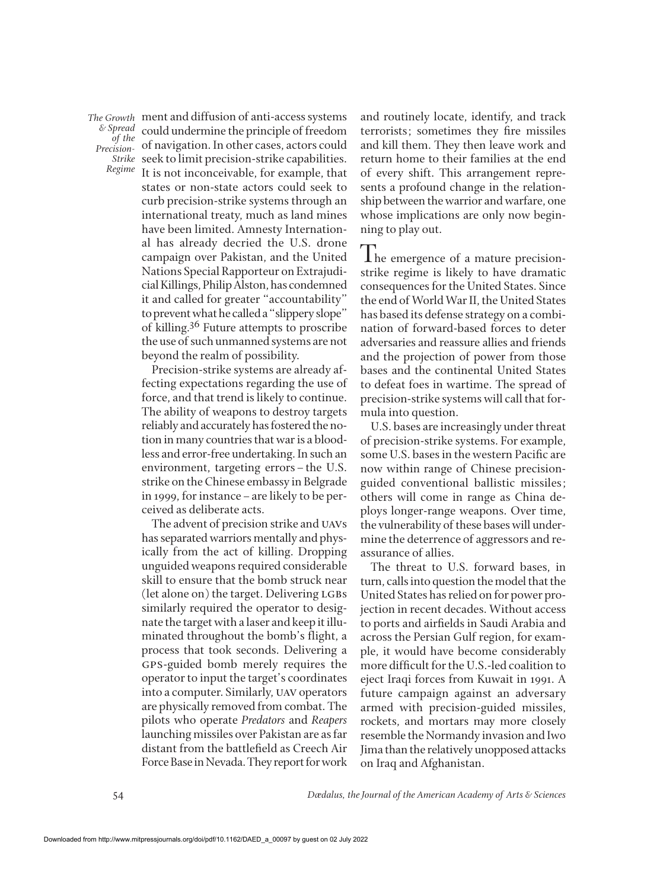*of the*

ment and diffusion of anti-access systems *The Growth* could undermine the principle of freedom *& Spread*  of navigation. In other cases, actors could *Precision-*Strike seek to limit precision-strike capabilities. Regime It is not inconceivable, for example, that states or non-state actors could seek to curb precision-strike systems through an international treaty, much as land mines have been limited. Amnesty International has already decried the U.S. drone campaign over Pakistan, and the United Nations Special Rapporteur on Extrajudicial Killings, Philip Alston, has condemned it and called for greater "accountability" to prevent what he called a "slippery slope" of killing.36 Future attempts to proscribe the use of such unmanned systems are not beyond the realm of possibility.

> Precision-strike systems are already affecting expectations regarding the use of force, and that trend is likely to continue. The ability of weapons to destroy targets reliably and accurately has fostered the notion in many countries that war is a bloodless and error-free undertaking. In such an environment, targeting errors–the U.S. strike on the Chinese embassy in Belgrade in 1999, for instance–are likely to be perceived as deliberate acts.

> The advent of precision strike and uavs has separated warriors mentally and physically from the act of killing. Dropping unguided weapons required considerable skill to ensure that the bomb struck near (let alone on) the target. Delivering LGBs similarly required the operator to designate the target with a laser and keep it illuminated throughout the bomb's flight, a process that took seconds. Delivering a gps-guided bomb merely requires the operator to input the target's coordinates into a computer. Similarly, uav operators are physically removed from combat. The pilots who operate *Predators* and *Reapers* launching missiles over Pakistan are as far distant from the battlefield as Creech Air Force Base in Nevada. They report for work

and routinely locate, identify, and track terrorists; sometimes they fire missiles and kill them. They then leave work and return home to their families at the end of every shift. This arrangement represents a profound change in the relationship between the warrior and warfare, one whose implications are only now beginning to play out.

The emergence of a mature precisionstrike regime is likely to have dramatic consequences for the United States. Since the end of World War II, the United States has based its defense strategy on a combination of forward-based forces to deter adversaries and reassure allies and friends and the projection of power from those bases and the continental United States to defeat foes in wartime. The spread of precision-strike systems will call that formula into question.

U.S. bases are increasingly under threat of precision-strike systems. For example, some U.S. bases in the western Pacific are now within range of Chinese precisionguided conventional ballistic missiles; others will come in range as China deploys longer-range weapons. Over time, the vulnerability of these bases will undermine the deterrence of aggressors and reassurance of allies.

The threat to U.S. forward bases, in turn, calls into question the model that the United States has relied on for power projection in recent decades. Without access to ports and airfields in Saudi Arabia and across the Persian Gulf region, for example, it would have become considerably more difficult for the U.S.-led coalition to eject Iraqi forces from Kuwait in 1991. A future campaign against an adversary armed with precision-guided missiles, rockets, and mortars may more closely resemble the Normandy invasion and Iwo Jima than the relatively unopposed attacks on Iraq and Afghanistan.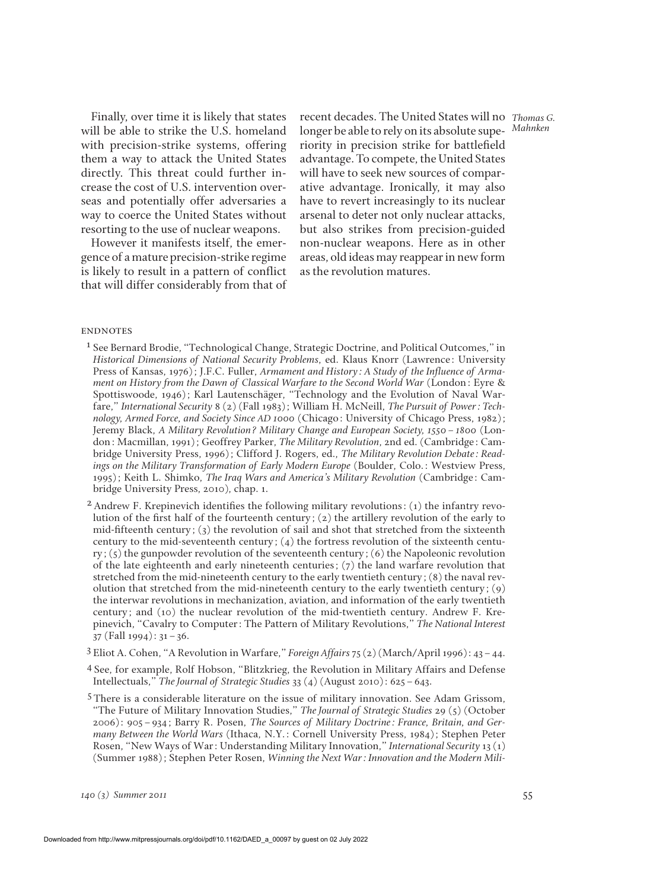Finally, over time it is likely that states will be able to strike the U.S. homeland with precision-strike systems, offering them a way to attack the United States directly. This threat could further increase the cost of U.S. intervention overseas and potentially offer adversaries a way to coerce the United States without resorting to the use of nuclear weapons.

However it manifests itself, the emergence of a mature precision-strike regime is likely to result in a pattern of conflict that will differ considerably from that of recent decades. The United States will no *Thomas G.* longer be able to rely on its absolute supe-*Mahnken* riority in precision strike for battlefield advantage. To compete, the United States will have to seek new sources of comparative advantage. Ironically, it may also have to revert increasingly to its nuclear arsenal to deter not only nuclear attacks, but also strikes from precision-guided non-nuclear weapons. Here as in other areas, old ideas may reappear in new form as the revolution matures.

## **ENDNOTES**

- <sup>1</sup> See Bernard Brodie, "Technological Change, Strategic Doctrine, and Political Outcomes," in *Historical Dimensions of National Security Problems*, ed. Klaus Knorr (Lawrence: University Press of Kansas, 1976); J.F.C. Fuller, *Armament and History: A Study of the Influence of Armament on History from the Dawn of Classical Warfare to the Second World War* (London: Eyre & Spottiswoode, 1946); Karl Lautenschäger, "Technology and the Evolution of Naval Warfare," *International Security* 8 (2) (Fall 1983); William H. McNeill, *The Pursuit of Power: Technology, Armed Force, and Society Since AD 1000* (Chicago: University of Chicago Press, 1982); Jeremy Black, *A Military Revolution? Military Change and European Society, 1550–1800* (London: Macmillan, 1991); Geoffrey Parker, *The Military Revolution*, 2nd ed. (Cambridge: Cambridge University Press, 1996); Clifford J. Rogers, ed., *The Military Revolution Debate: Readings on the Military Transformation of Early Modern Europe* (Boulder, Colo.: Westview Press, 1995); Keith L. Shimko, *The Iraq Wars and America's Military Revolution* (Cambridge: Cambridge University Press, 2010), chap. 1.
- $2$  Andrew F. Krepinevich identifies the following military revolutions: (1) the infantry revolution of the first half of the fourteenth century;  $(2)$  the artillery revolution of the early to mid-fifteenth century; (3) the revolution of sail and shot that stretched from the sixteenth century to the mid-seventeenth century;  $(4)$  the fortress revolution of the sixteenth centu $ry$ ; (5) the gunpowder revolution of the seventeenth century; (6) the Napoleonic revolution of the late eighteenth and early nineteenth centuries; (7) the land warfare revolution that stretched from the mid-nineteenth century to the early twentieth century; (8) the naval revolution that stretched from the mid-nineteenth century to the early twentieth century;  $(9)$ the interwar revolutions in mechanization, aviation, and information of the early twentieth century; and (10) the nuclear revolution of the mid-twentieth century. Andrew F. Krepinevich, "Cavalry to Computer: The Pattern of Military Revolutions," *The National Interest* 37 (Fall 1994): 31–36.
- 3 Eliot A. Cohen, "A Revolution in Warfare," *Foreign Affairs* 75 (2) (March/April 1996): 43–44.
- 4 See, for example, Rolf Hobson, "Blitzkrieg, the Revolution in Military Affairs and Defense Intellectuals," *The Journal of Strategic Studies* 33 (4) (August 2010): 625–643.
- 5 There is a considerable literature on the issue of military innovation. See Adam Grissom, "The Future of Military Innovation Studies," *The Journal of Strategic Studies* 29 (5) (October 2006): 905–934; Barry R. Posen, *The Sources of Military Doctrine: France, Britain, and Germany Between the World Wars* (Ithaca, N.Y.: Cornell University Press, 1984); Stephen Peter Rosen, "New Ways of War: Understanding Military Innovation," *International Security* 13 (1) (Summer 1988); Stephen Peter Rosen, *Winning the Next War: Innovation and the Modern Mili-*

*140 (3) Summer 2011*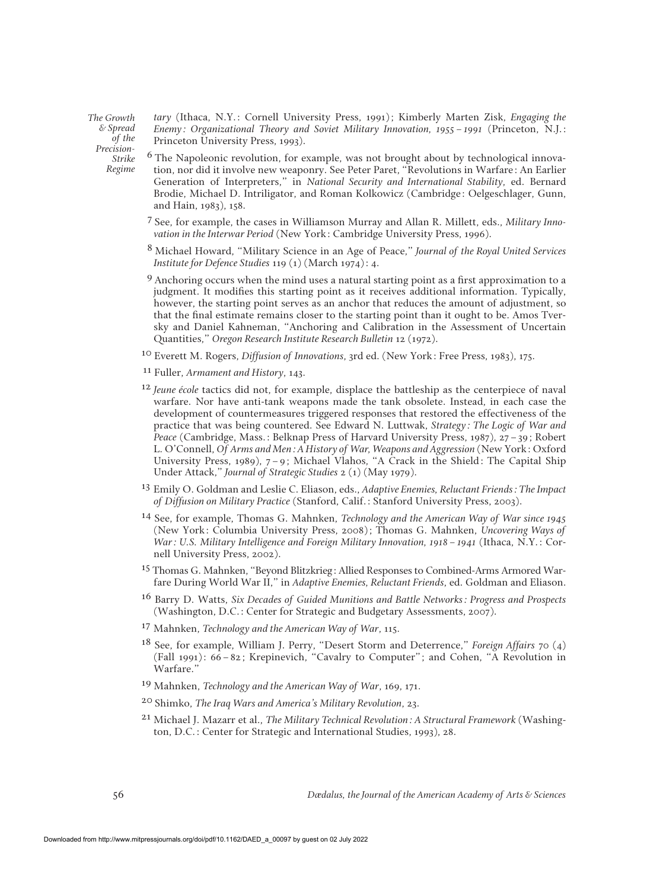*The Growth & Spread of the Precision-Strike Regime*

*tary* (Ithaca, N.Y.: Cornell University Press, 1991); Kimberly Marten Zisk, *Engaging the Enemy: Organizational Theory and Soviet Military Innovation, 1955–1991* (Princeton, N.J.: Princeton University Press, 1993).

- <sup>6</sup> The Napoleonic revolution, for example, was not brought about by technological innovation, nor did it involve new weaponry. See Peter Paret, "Revolutions in Warfare: An Earlier Generation of Interpreters," in *National Security and International Stability*, ed. Bernard Brodie, Michael D. Intriligator, and Roman Kolkowicz (Cambridge: Oelgeschlager, Gunn, and Hain, 1983), 158.
	- 7 See, for example, the cases in Williamson Murray and Allan R. Millett, eds., *Military Innovation in the Interwar Period* (New York: Cambridge University Press, 1996).
	- 8 Michael Howard, "Military Science in an Age of Peace," *Journal of the Royal United Services Institute for Defence Studies* 119 (1) (March 1974): 4.
	- <sup>9</sup> Anchoring occurs when the mind uses a natural starting point as a first approximation to a judgment. It modifies this starting point as it receives additional information. Typically, however, the starting point serves as an anchor that reduces the amount of adjustment, so that the final estimate remains closer to the starting point than it ought to be. Amos Tversky and Daniel Kahneman, "Anchoring and Calibration in the Assessment of Uncertain Quantities," *Oregon Research Institute Research Bulletin* 12 (1972).
- 10 Everett M. Rogers, *Diffusion of Innovations*, 3rd ed. (New York: Free Press, 1983), 175.
- 11 Fuller, *Armament and History*, 143.
- 12 *Jeune école* tactics did not, for example, displace the battleship as the centerpiece of naval warfare. Nor have anti-tank weapons made the tank obsolete. Instead, in each case the development of countermeasures triggered responses that restored the effectiveness of the practice that was being countered. See Edward N. Luttwak, *Strategy: The Logic of War and Peace* (Cambridge, Mass.: Belknap Press of Harvard University Press, 1987), 27–39; Robert L. O'Connell, *Of Arms and Men: A History of War, Weapons and Aggression* (New York: Oxford University Press, 1989),  $7-9$ ; Michael Vlahos, "A Crack in the Shield: The Capital Ship Under Attack," *Journal of Strategic Studies* 2 (1) (May 1979).
- 13 Emily O. Goldman and Leslie C. Eliason, eds., *Adaptive Enemies, Reluctant Friends: The Impact of Diffusion on Military Practice* (Stanford, Calif.: Stanford University Press, 2003).
- 14 See, for example, Thomas G. Mahnken, *Technology and the American Way of War since 1945* (New York: Columbia University Press, 2008); Thomas G. Mahnken, *Uncovering Ways of War: U.S. Military Intelligence and Foreign Military Innovation, 1918–1941* (Ithaca, N.Y.: Cornell University Press, 2002).
- 15 Thomas G. Mahnken, "Beyond Blitzkrieg: Allied Responses to Combined-Arms Armored Warfare During World War II," in *Adaptive Enemies, Reluctant Friends*, ed. Goldman and Eliason.
- 16 Barry D. Watts, *Six Decades of Guided Munitions and Battle Networks: Progress and Prospects* (Washington, D.C.: Center for Strategic and Budgetary Assessments, 2007).
- 17 Mahnken, *Technology and the American Way of War*, 115.
- 18 See, for example, William J. Perry, "Desert Storm and Deterrence," *Foreign Affairs* 70 (4) (Fall 1991): 66–82; Krepinevich, "Cavalry to Computer"; and Cohen, "A Revolution in Warfare."
- 19 Mahnken, *Technology and the American Way of War*, 169, 171.
- 20 Shimko, *The Iraq Wars and America's Military Revolution*, 23.
- 21 Michael J. Mazarr et al., *The Military Technical Revolution: A Structural Framework* (Washington, D.C.: Center for Strategic and International Studies, 1993), 28.